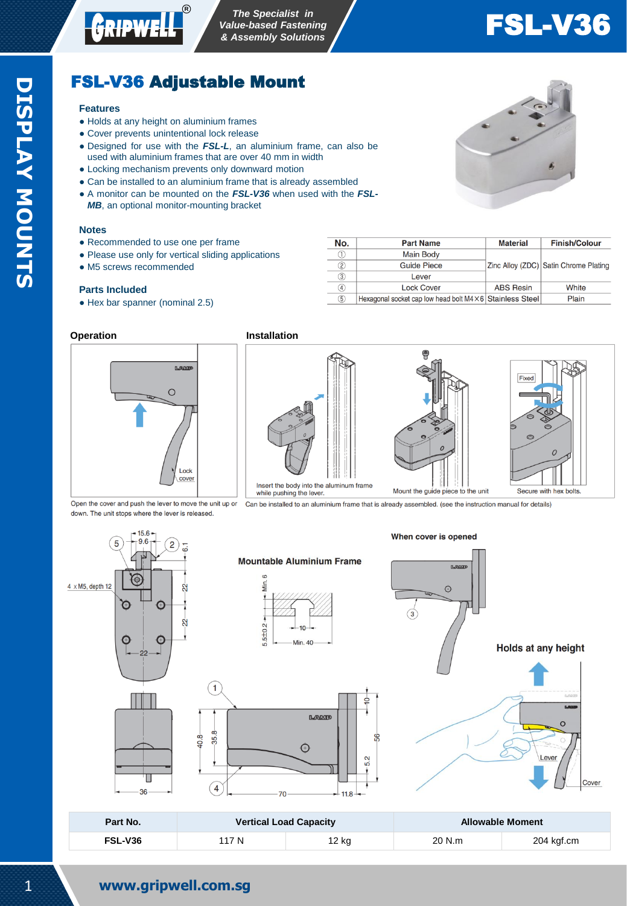

# FSL-V36

Finish/Colour

White

Plain

Zinc Alloy (ZDC) Satin Chrome Plating

# FSL-V36 Adjustable Mount

#### **Features**

- Holds at any height on aluminium frames
- Cover prevents unintentional lock release
- Designed for use with the *FSL-L*, an aluminium frame, can also be used with aluminium frames that are over 40 mm in width
- Locking mechanism prevents only downward motion
- Can be installed to an aluminium frame that is already assembled
- A monitor can be mounted on the **FSL-V36** when used with the **FSL-***MB*, an optional monitor-mounting bracket

#### **Notes**

- Recommended to use one per frame
- Please use only for vertical sliding applications
- M5 screws recommended

#### **Parts Included**

• Hex bar spanner (nominal 2.5)

| Operation |  |
|-----------|--|
|-----------|--|



down. The unit stops where the lever is released

**Installation** 

 $N<sub>O</sub>$ .

 $\overline{0}$ 

 $\overline{2}$ 

 $\overline{3}$ 

 $\overline{\circledcirc}$ 

 $\circledS$ 



**Part Name** 

**Main Body** 

**Guide Piece** 

Lever

**Lock Cover** 

Hexagonal socket cap low head bolt M4 × 6 Stainless Steel

Open the cover and push the lever to move the unit up or Can be installed to an aluminium frame that is already assembled. (see the instruction manual for details)



When cover is opened



| Part No. | <b>Vertical Load Capacity</b> |       | <b>Allowable Moment</b> |            |
|----------|-------------------------------|-------|-------------------------|------------|
| FSL-V36  | 117 N                         | 12 kg | 20 N.m                  | 204 kgf.cm |

₫

ဇ္တ



**Material** 

**ABS Resin**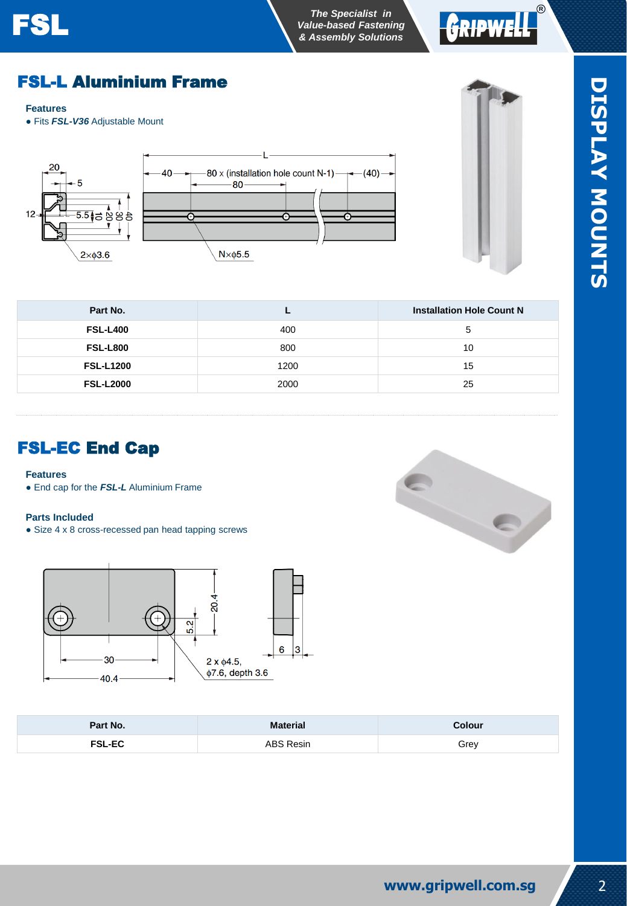### *The Specialist in* **FSL The Specialist in**<br> **FSL** *Value-based Fastening RASPERIMALLE SPECIAL SOLUTIONS*



# FSL-L Aluminium Frame

#### **Features**

 $12$ 

● Fits *FSL-V36* Adjustable Mount





| Part No.         |      | <b>Installation Hole Count N</b> |
|------------------|------|----------------------------------|
| <b>FSL-L400</b>  | 400  | 5                                |
| <b>FSL-L800</b>  | 800  | 10                               |
| <b>FSL-L1200</b> | 1200 | 15                               |
| <b>FSL-L2000</b> | 2000 | 25                               |

## FSL-EC End Cap

#### **Features**

● End cap for the *FSL-L* Aluminium Frame

#### **Parts Included**

• Size 4 x 8 cross-recessed pan head tapping screws





| Part No.      | <b>Material</b> | <b>Colour</b> |
|---------------|-----------------|---------------|
| <b>FSL-EC</b> | ABS Resin       | Grev          |